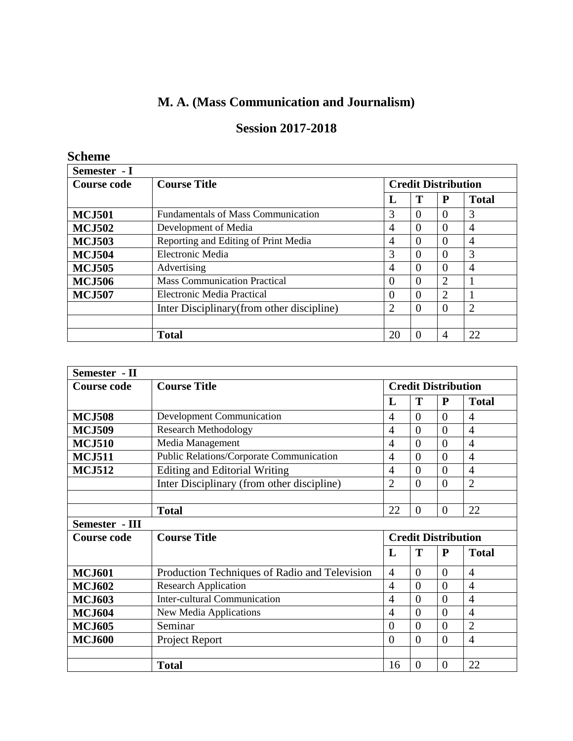# **M. A. (Mass Communication and Journalism)**

# **Session 2017-2018**

# **Scheme**

| Semester - I       |                                            |                            |          |                |                |  |  |
|--------------------|--------------------------------------------|----------------------------|----------|----------------|----------------|--|--|
| <b>Course code</b> | <b>Course Title</b>                        | <b>Credit Distribution</b> |          |                |                |  |  |
|                    |                                            | L                          | Т        | P              | <b>Total</b>   |  |  |
| <b>MCJ501</b>      | <b>Fundamentals of Mass Communication</b>  | 3                          | $\Omega$ | $\Omega$       | 3              |  |  |
| <b>MCJ502</b>      | Development of Media                       | $\overline{4}$             | $\Omega$ | $\theta$       | 4              |  |  |
| <b>MCJ503</b>      | Reporting and Editing of Print Media       | 4                          | $\Omega$ | $\Omega$       | $\overline{4}$ |  |  |
| <b>MCJ504</b>      | Electronic Media                           | 3                          | $\Omega$ | $\Omega$       | 3              |  |  |
| <b>MCJ505</b>      | Advertising                                | 4                          | $\Omega$ | $\Omega$       | $\overline{4}$ |  |  |
| <b>MCJ506</b>      | <b>Mass Communication Practical</b>        | $\theta$                   | $\Omega$ | $\overline{2}$ |                |  |  |
| <b>MCJ507</b>      | Electronic Media Practical                 | $\theta$                   | $\theta$ | 2              |                |  |  |
|                    | Inter Disciplinary (from other discipline) | 2                          | $\Omega$ | $\Omega$       | $\overline{2}$ |  |  |
|                    |                                            |                            |          |                |                |  |  |
|                    | <b>Total</b>                               | 20                         | $\theta$ | $\overline{4}$ | 22             |  |  |

| Semester - II      |                                               |                |                |                            |                |
|--------------------|-----------------------------------------------|----------------|----------------|----------------------------|----------------|
| <b>Course code</b> | <b>Course Title</b>                           |                |                | <b>Credit Distribution</b> |                |
|                    |                                               | L              | T              | $\mathbf{P}$               | <b>Total</b>   |
| <b>MCJ508</b>      | <b>Development Communication</b>              | 4              | $\theta$       | $\Omega$                   | $\overline{4}$ |
| <b>MCJ509</b>      | <b>Research Methodology</b>                   | 4              | $\theta$       | $\theta$                   | $\overline{4}$ |
| <b>MCJ510</b>      | Media Management                              | 4              | $\theta$       | $\Omega$                   | $\overline{4}$ |
| <b>MCJ511</b>      | Public Relations/Corporate Communication      | $\overline{4}$ | $\overline{0}$ | $\Omega$                   | $\overline{4}$ |
| <b>MCJ512</b>      | <b>Editing and Editorial Writing</b>          | $\overline{4}$ | $\overline{0}$ | $\overline{0}$             | $\overline{4}$ |
|                    | Inter Disciplinary (from other discipline)    | $\overline{2}$ | $\overline{0}$ | $\overline{0}$             | $\overline{2}$ |
|                    |                                               |                |                |                            |                |
|                    | <b>Total</b>                                  | 22             | $\overline{0}$ | $\Omega$                   | 22             |
| Semester - III     |                                               |                |                |                            |                |
| <b>Course code</b> | <b>Course Title</b>                           |                |                | <b>Credit Distribution</b> |                |
|                    |                                               | L              | T              | $\mathbf P$                | <b>Total</b>   |
| <b>MCJ601</b>      | Production Techniques of Radio and Television | $\overline{4}$ | $\overline{0}$ | $\theta$                   | $\overline{4}$ |
| <b>MCJ602</b>      | <b>Research Application</b>                   | 4              | $\theta$       | $\theta$                   | $\overline{4}$ |
| <b>MCJ603</b>      | <b>Inter-cultural Communication</b>           | $\overline{4}$ | $\theta$       | $\Omega$                   | $\overline{4}$ |
| <b>MCJ604</b>      | New Media Applications                        | $\overline{4}$ | $\theta$       | $\Omega$                   | $\overline{4}$ |
| <b>MCJ605</b>      | Seminar                                       | $\theta$       | $\overline{0}$ | $\theta$                   | $\overline{2}$ |
| <b>MCJ600</b>      | Project Report                                | $\theta$       | $\theta$       | $\Omega$                   | $\overline{4}$ |
|                    |                                               |                |                |                            |                |
|                    | <b>Total</b>                                  | 16             | $\theta$       | $\Omega$                   | 22             |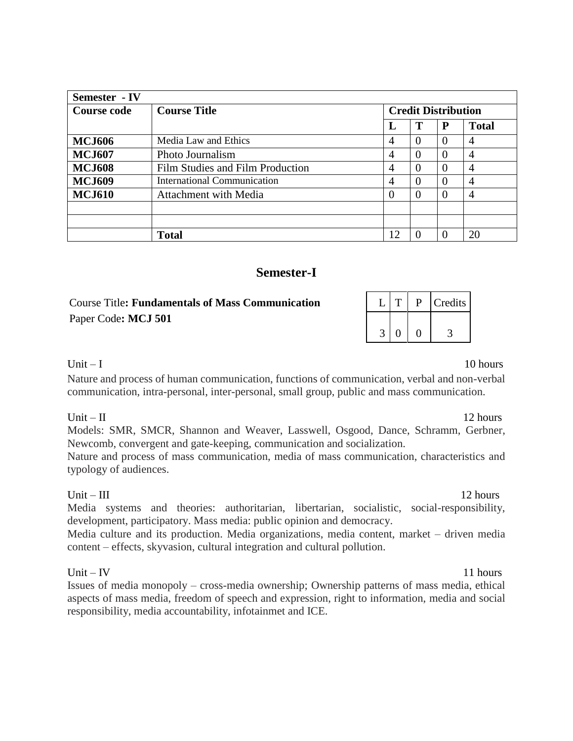| Semester - IV      |                                  |                |                            |   |              |  |
|--------------------|----------------------------------|----------------|----------------------------|---|--------------|--|
| <b>Course code</b> | <b>Course Title</b>              |                | <b>Credit Distribution</b> |   |              |  |
|                    |                                  | L              | Т                          | P | <b>Total</b> |  |
| <b>MCJ606</b>      | Media Law and Ethics             | 4              | $\Omega$                   |   | 4            |  |
| <b>MCJ607</b>      | Photo Journalism                 | 4              | $\Omega$                   |   | 4            |  |
| <b>MCJ608</b>      | Film Studies and Film Production | $\overline{4}$ | $\Omega$                   |   | 4            |  |
| <b>MCJ609</b>      | International Communication      | 4              | $\Omega$                   |   | 4            |  |
| <b>MCJ610</b>      | Attachment with Media            | $\Omega$       | $\Omega$                   |   | 4            |  |
|                    |                                  |                |                            |   |              |  |
|                    |                                  |                |                            |   |              |  |
|                    | <b>Total</b>                     | 12             |                            |   | 20           |  |

# **Semester-I**

# **Course Title: Fundamentals of Mass Communication** Paper Code**: MCJ 501**

|  |  | Credits |
|--|--|---------|
|  |  |         |

#### Unit  $-1$  10 hours

Nature and process of human communication, functions of communication, verbal and non-verbal communication, intra-personal, inter-personal, small group, public and mass communication.

#### Unit  $-$  II 12 hours

Models: SMR, SMCR, Shannon and Weaver, Lasswell, Osgood, Dance, Schramm, Gerbner, Newcomb, convergent and gate-keeping, communication and socialization.

Nature and process of mass communication, media of mass communication, characteristics and typology of audiences.

Unit – III  $12 \text{ hours}$ Media systems and theories: authoritarian, libertarian, socialistic, social-responsibility, development, participatory. Mass media: public opinion and democracy.

Media culture and its production. Media organizations, media content, market – driven media content – effects, skyvasion, cultural integration and cultural pollution.

#### Unit  $-$  IV 11 hours

Issues of media monopoly – cross-media ownership; Ownership patterns of mass media, ethical aspects of mass media, freedom of speech and expression, right to information, media and social responsibility, media accountability, infotainmet and ICE.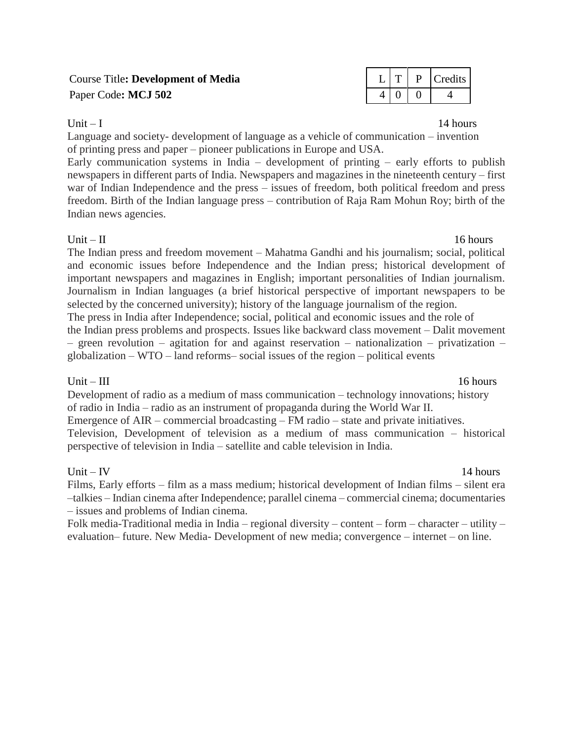# **Course Title: Development of Media** Paper Code: MCJ 502

|  | redits |
|--|--------|
|  |        |

Unit  $-1$  14 hours

Language and society- development of language as a vehicle of communication – invention of printing press and paper – pioneer publications in Europe and USA.

Early communication systems in India – development of printing – early efforts to publish newspapers in different parts of India. Newspapers and magazines in the nineteenth century – first war of Indian Independence and the press – issues of freedom, both political freedom and press freedom. Birth of the Indian language press – contribution of Raja Ram Mohun Roy; birth of the Indian news agencies.

Unit  $-$  II 16 hours The Indian press and freedom movement – Mahatma Gandhi and his journalism; social, political and economic issues before Independence and the Indian press; historical development of important newspapers and magazines in English; important personalities of Indian journalism. Journalism in Indian languages (a brief historical perspective of important newspapers to be selected by the concerned university); history of the language journalism of the region. The press in India after Independence; social, political and economic issues and the role of the Indian press problems and prospects. Issues like backward class movement – Dalit movement – green revolution – agitation for and against reservation – nationalization – privatization – globalization – WTO – land reforms– social issues of the region – political events

Unit – III  $16 \text{ hours}$ Development of radio as a medium of mass communication – technology innovations; history of radio in India – radio as an instrument of propaganda during the World War II. Emergence of AIR – commercial broadcasting – FM radio – state and private initiatives. Television, Development of television as a medium of mass communication – historical perspective of television in India – satellite and cable television in India.

# Unit  $-$  IV 14 hours

Films, Early efforts – film as a mass medium; historical development of Indian films – silent era –talkies – Indian cinema after Independence; parallel cinema – commercial cinema; documentaries – issues and problems of Indian cinema.

Folk media-Traditional media in India – regional diversity – content – form – character – utility – evaluation– future. New Media- Development of new media; convergence – internet – on line.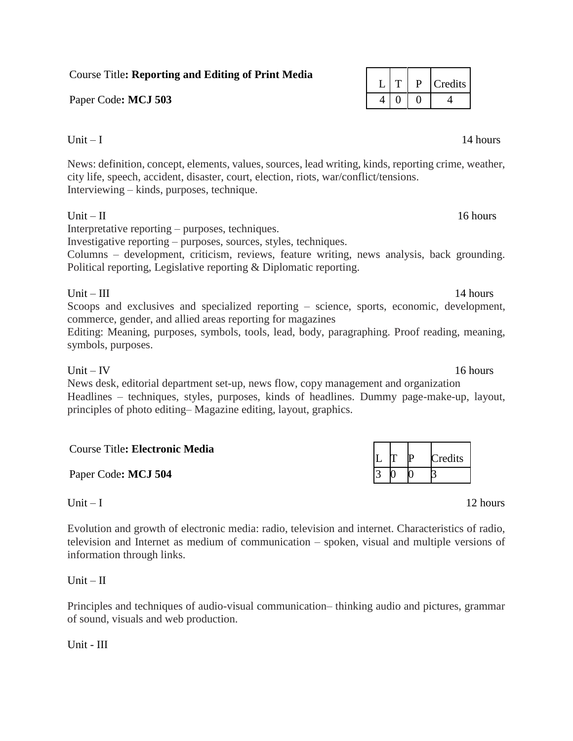# Course Title**: Reporting and Editing of Print Media**

Paper Code: MCJ 503

# Unit  $-1$  14 hours

News: definition, concept, elements, values, sources, lead writing, kinds, reporting crime, weather, city life, speech, accident, disaster, court, election, riots, war/conflict/tensions. Interviewing – kinds, purposes, technique.

# Unit – II  $16 \text{ hours}$

Interpretative reporting – purposes, techniques.

Investigative reporting – purposes, sources, styles, techniques.

Columns – development, criticism, reviews, feature writing, news analysis, back grounding. Political reporting, Legislative reporting & Diplomatic reporting.

# Unit – III  $14 \text{ hours}$

Scoops and exclusives and specialized reporting – science, sports, economic, development, commerce, gender, and allied areas reporting for magazines

Editing: Meaning, purposes, symbols, tools, lead, body, paragraphing. Proof reading, meaning, symbols, purposes.

# Unit  $-$  IV 16 hours

News desk, editorial department set-up, news flow, copy management and organization Headlines – techniques, styles, purposes, kinds of headlines. Dummy page-make-up, layout, principles of photo editing– Magazine editing, layout, graphics.

| <b>Course Title: Electronic Media</b> | L T P | Credits |
|---------------------------------------|-------|---------|
| Paper Code: MCJ 504                   |       |         |

Evolution and growth of electronic media: radio, television and internet. Characteristics of radio, television and Internet as medium of communication – spoken, visual and multiple versions of information through links.

 $Unit - II$ 

Principles and techniques of audio-visual communication– thinking audio and pictures, grammar of sound, visuals and web production.

Unit - III

|  | Credits |
|--|---------|
|  |         |

|  | Credits |
|--|---------|
|  |         |

Unit  $-1$  12 hours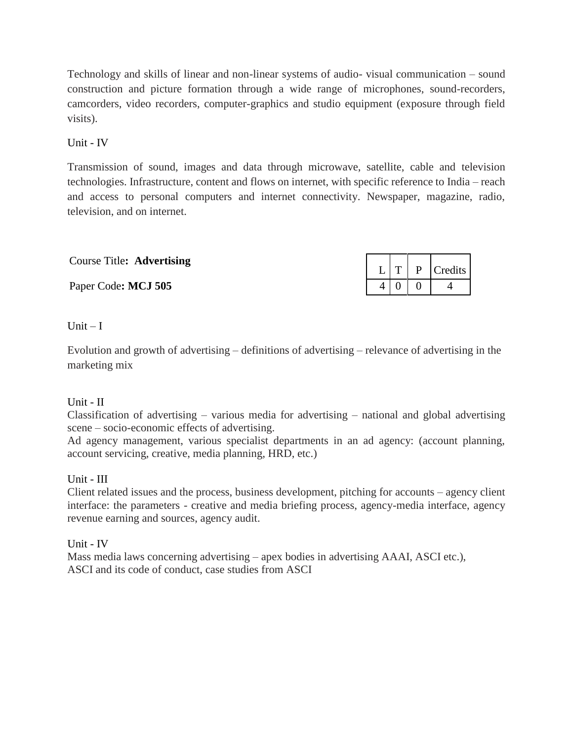Technology and skills of linear and non-linear systems of audio- visual communication – sound construction and picture formation through a wide range of microphones, sound-recorders, camcorders, video recorders, computer-graphics and studio equipment (exposure through field visits).

Unit - IV

Transmission of sound, images and data through microwave, satellite, cable and television technologies. Infrastructure, content and flows on internet, with specific reference to India – reach and access to personal computers and internet connectivity. Newspaper, magazine, radio, television, and on internet.

Course Title**: Advertising**

Paper Code: MCJ 505

|  | Credits |
|--|---------|
|  |         |

Unit  $-I$ 

Evolution and growth of advertising – definitions of advertising – relevance of advertising in the marketing mix

# Unit - II

Classification of advertising – various media for advertising – national and global advertising scene – socio-economic effects of advertising.

Ad agency management, various specialist departments in an ad agency: (account planning, account servicing, creative, media planning, HRD, etc.)

#### Unit - III

Client related issues and the process, business development, pitching for accounts – agency client interface: the parameters - creative and media briefing process, agency-media interface, agency revenue earning and sources, agency audit.

Unit - IV

Mass media laws concerning advertising – apex bodies in advertising AAAI, ASCI etc.), ASCI and its code of conduct, case studies from ASCI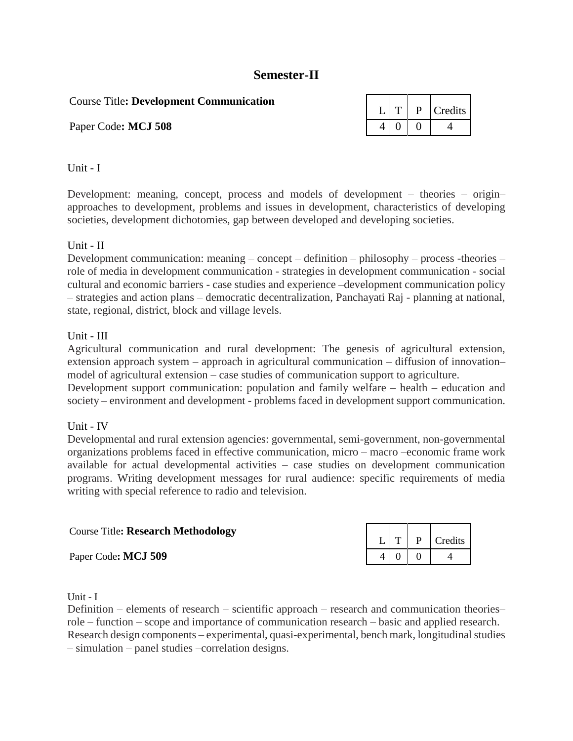# **Semester-II**

Course Title**: Development Communication**

Paper Code: MCJ 508

|  | Credits |
|--|---------|
|  |         |

#### Unit - I

Development: meaning, concept, process and models of development – theories – origin– approaches to development, problems and issues in development, characteristics of developing societies, development dichotomies, gap between developed and developing societies.

### Unit - II

Development communication: meaning – concept – definition – philosophy – process -theories – role of media in development communication - strategies in development communication - social cultural and economic barriers - case studies and experience –development communication policy – strategies and action plans – democratic decentralization, Panchayati Raj - planning at national, state, regional, district, block and village levels.

### Unit - III

Agricultural communication and rural development: The genesis of agricultural extension, extension approach system – approach in agricultural communication – diffusion of innovation– model of agricultural extension – case studies of communication support to agriculture.

Development support communication: population and family welfare – health – education and society – environment and development - problems faced in development support communication.

# Unit - IV

Developmental and rural extension agencies: governmental, semi-government, non-governmental organizations problems faced in effective communication, micro – macro –economic frame work available for actual developmental activities – case studies on development communication programs. Writing development messages for rural audience: specific requirements of media writing with special reference to radio and television.

| <b>Course Title: Research Methodology</b> |  |  |
|-------------------------------------------|--|--|
| Paper Code: MCJ 509                       |  |  |

Unit - I

Definition – elements of research – scientific approach – research and communication theories– role – function – scope and importance of communication research – basic and applied research. Research design components – experimental, quasi-experimental, bench mark, longitudinal studies – simulation – panel studies –correlation designs.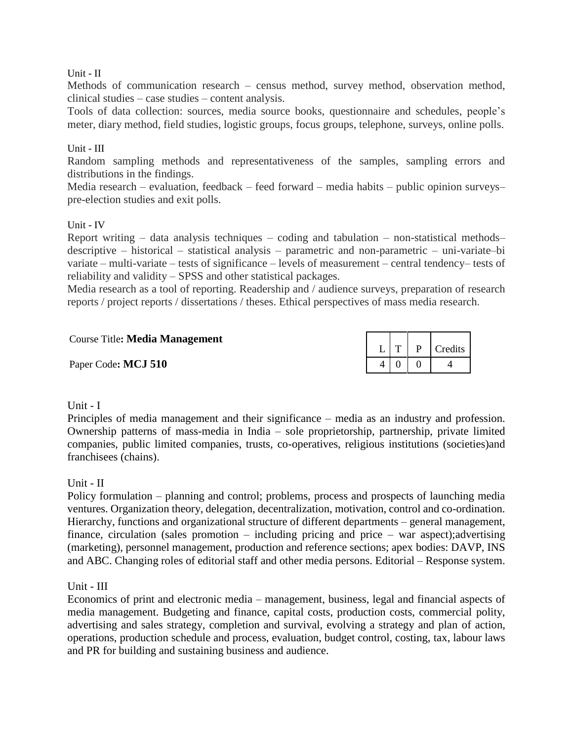#### Unit - II

Methods of communication research – census method, survey method, observation method, clinical studies – case studies – content analysis.

Tools of data collection: sources, media source books, questionnaire and schedules, people's meter, diary method, field studies, logistic groups, focus groups, telephone, surveys, online polls.

#### Unit - III

Random sampling methods and representativeness of the samples, sampling errors and distributions in the findings.

Media research – evaluation, feedback – feed forward – media habits – public opinion surveys– pre-election studies and exit polls.

#### Unit - IV

Report writing – data analysis techniques – coding and tabulation – non-statistical methods– descriptive – historical – statistical analysis – parametric and non-parametric – uni-variate–bi variate – multi-variate – tests of significance – levels of measurement – central tendency– tests of reliability and validity – SPSS and other statistical packages.

Media research as a tool of reporting. Readership and / audience surveys, preparation of research reports / project reports / dissertations / theses. Ethical perspectives of mass media research.

| Course Title: Media Management |  |                          |
|--------------------------------|--|--------------------------|
| Paper Code: MCJ 510            |  | $4 \mid 0 \mid 0 \mid 4$ |

#### Unit - I

Principles of media management and their significance – media as an industry and profession. Ownership patterns of mass-media in India – sole proprietorship, partnership, private limited companies, public limited companies, trusts, co-operatives, religious institutions (societies)and franchisees (chains).

#### Unit - II

Policy formulation – planning and control; problems, process and prospects of launching media ventures. Organization theory, delegation, decentralization, motivation, control and co-ordination. Hierarchy, functions and organizational structure of different departments – general management, finance, circulation (sales promotion – including pricing and price – war aspect);advertising (marketing), personnel management, production and reference sections; apex bodies: DAVP, INS and ABC. Changing roles of editorial staff and other media persons. Editorial – Response system.

#### Unit - III

Economics of print and electronic media – management, business, legal and financial aspects of media management. Budgeting and finance, capital costs, production costs, commercial polity, advertising and sales strategy, completion and survival, evolving a strategy and plan of action, operations, production schedule and process, evaluation, budget control, costing, tax, labour laws and PR for building and sustaining business and audience.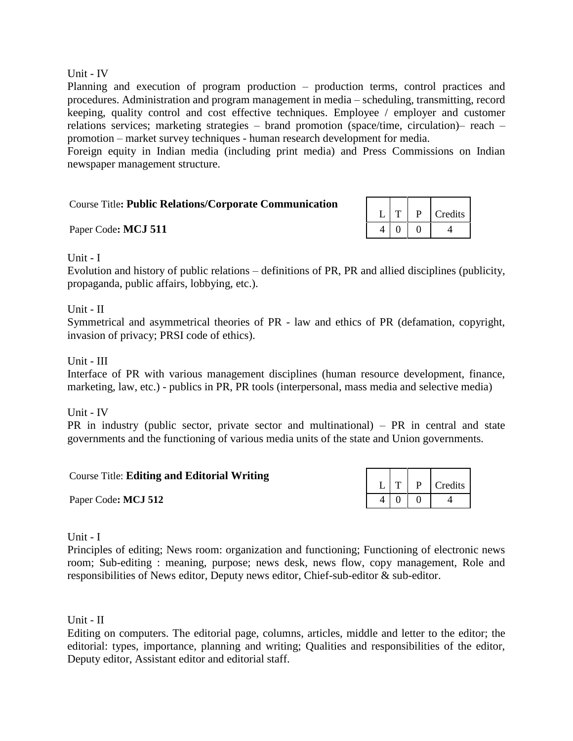#### Unit - IV

Planning and execution of program production – production terms, control practices and procedures. Administration and program management in media – scheduling, transmitting, record keeping, quality control and cost effective techniques. Employee / employer and customer relations services; marketing strategies – brand promotion (space/time, circulation)– reach – promotion – market survey techniques - human research development for media.

Foreign equity in Indian media (including print media) and Press Commissions on Indian newspaper management structure.

**Paper Code: MCJ 511** 

|  | Credits |
|--|---------|
|  |         |

Unit - I

Evolution and history of public relations – definitions of PR, PR and allied disciplines (publicity, propaganda, public affairs, lobbying, etc.).

#### Unit - II

Symmetrical and asymmetrical theories of PR - law and ethics of PR (defamation, copyright, invasion of privacy; PRSI code of ethics).

#### Unit - III

Interface of PR with various management disciplines (human resource development, finance, marketing, law, etc.) - publics in PR, PR tools (interpersonal, mass media and selective media)

Unit - IV

PR in industry (public sector, private sector and multinational) – PR in central and state governments and the functioning of various media units of the state and Union governments.

| <b>Course Title: Editing and Editorial Writing</b> |  |                   | $L$ $T$ $P$ $C$ redits |
|----------------------------------------------------|--|-------------------|------------------------|
| Paper Code: MCJ 512                                |  | $4 \mid 0 \mid 0$ |                        |

#### Unit - I

Principles of editing; News room: organization and functioning; Functioning of electronic news room; Sub-editing : meaning, purpose; news desk, news flow, copy management, Role and responsibilities of News editor, Deputy news editor, Chief-sub-editor & sub-editor.

Unit - II

Editing on computers. The editorial page, columns, articles, middle and letter to the editor; the editorial: types, importance, planning and writing; Qualities and responsibilities of the editor, Deputy editor, Assistant editor and editorial staff.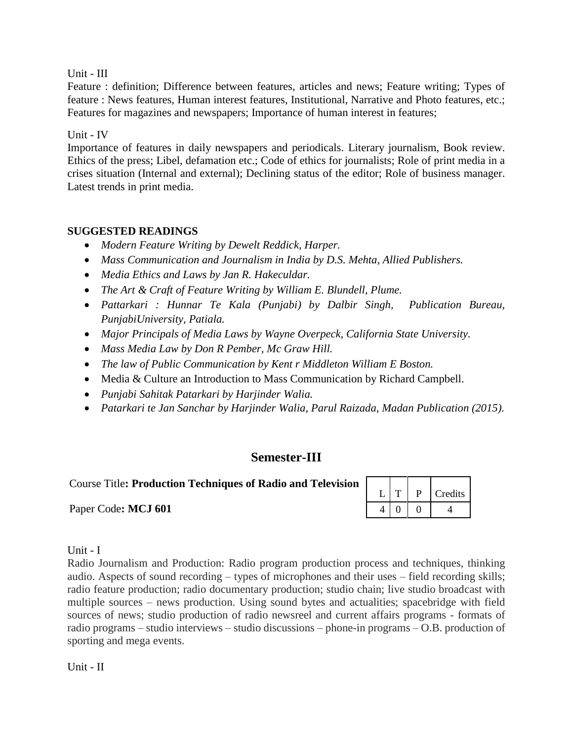Unit - III

Feature : definition; Difference between features, articles and news; Feature writing; Types of feature : News features, Human interest features, Institutional, Narrative and Photo features, etc.; Features for magazines and newspapers; Importance of human interest in features;

# Unit - IV

Importance of features in daily newspapers and periodicals. Literary journalism, Book review. Ethics of the press; Libel, defamation etc.; Code of ethics for journalists; Role of print media in a crises situation (Internal and external); Declining status of the editor; Role of business manager. Latest trends in print media.

# **SUGGESTED READINGS**

- *Modern Feature Writing by Dewelt Reddick, Harper.*
- *Mass Communication and Journalism in India by D.S. Mehta, Allied Publishers.*
- *Media Ethics and Laws by Jan R. Hakeculdar.*
- *The Art & Craft of Feature Writing by William E. Blundell, Plume.*
- *Pattarkari : Hunnar Te Kala (Punjabi) by Dalbir Singh, Publication Bureau, PunjabiUniversity, Patiala.*
- *Major Principals of Media Laws by Wayne Overpeck, California State University.*
- *Mass Media Law by Don R Pember, Mc Graw Hill.*
- *The law of Public Communication by Kent r Middleton William E Boston.*
- Media & Culture an Introduction to Mass Communication by Richard Campbell.
- *Punjabi Sahitak Patarkari by Harjinder Walia.*
- *Patarkari te Jan Sanchar by Harjinder Walia, Parul Raizada, Madan Publication (2015).*

# **Semester-III**

Course Title**: Production Techniques of Radio and Television**

Paper Code: MCJ 601

|  | Credits |
|--|---------|
|  |         |

Unit - I

Radio Journalism and Production: Radio program production process and techniques, thinking audio. Aspects of sound recording – types of microphones and their uses – field recording skills; radio feature production; radio documentary production; studio chain; live studio broadcast with multiple sources – news production. Using sound bytes and actualities; spacebridge with field sources of news; studio production of radio newsreel and current affairs programs - formats of radio programs – studio interviews – studio discussions – phone-in programs – O.B. production of sporting and mega events.

Unit - II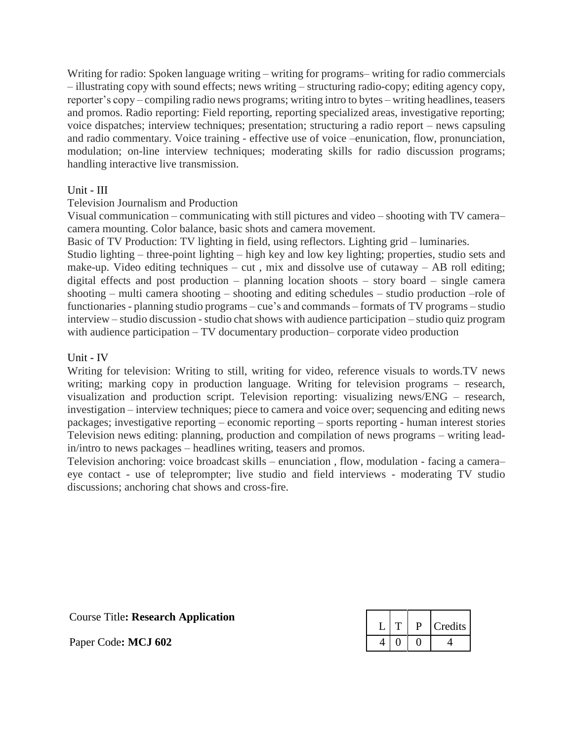Writing for radio: Spoken language writing – writing for programs– writing for radio commercials – illustrating copy with sound effects; news writing – structuring radio-copy; editing agency copy, reporter's copy – compiling radio news programs; writing intro to bytes – writing headlines, teasers and promos. Radio reporting: Field reporting, reporting specialized areas, investigative reporting; voice dispatches; interview techniques; presentation; structuring a radio report – news capsuling and radio commentary. Voice training - effective use of voice –enunication, flow, pronunciation, modulation; on-line interview techniques; moderating skills for radio discussion programs; handling interactive live transmission.

#### Unit - III

### Television Journalism and Production

Visual communication – communicating with still pictures and video – shooting with TV camera– camera mounting. Color balance, basic shots and camera movement.

Basic of TV Production: TV lighting in field, using reflectors. Lighting grid – luminaries.

Studio lighting – three-point lighting – high key and low key lighting; properties, studio sets and make-up. Video editing techniques – cut, mix and dissolve use of cutaway – AB roll editing; digital effects and post production – planning location shoots – story board – single camera shooting – multi camera shooting – shooting and editing schedules – studio production –role of functionaries - planning studio programs – cue's and commands – formats of TV programs – studio interview – studio discussion -studio chat shows with audience participation – studio quiz program with audience participation – TV documentary production– corporate video production

#### Unit - IV

Writing for television: Writing to still, writing for video, reference visuals to words.TV news writing; marking copy in production language. Writing for television programs – research, visualization and production script. Television reporting: visualizing news/ENG – research, investigation – interview techniques; piece to camera and voice over; sequencing and editing news packages; investigative reporting – economic reporting – sports reporting - human interest stories Television news editing: planning, production and compilation of news programs – writing leadin/intro to news packages – headlines writing, teasers and promos.

Television anchoring: voice broadcast skills – enunciation , flow, modulation - facing a camera– eye contact - use of teleprompter; live studio and field interviews - moderating TV studio discussions; anchoring chat shows and cross-fire.

| <b>Course Title: Research Application</b> |  |
|-------------------------------------------|--|
|-------------------------------------------|--|

Paper Code: MCJ 602

|  | Credits |
|--|---------|
|  |         |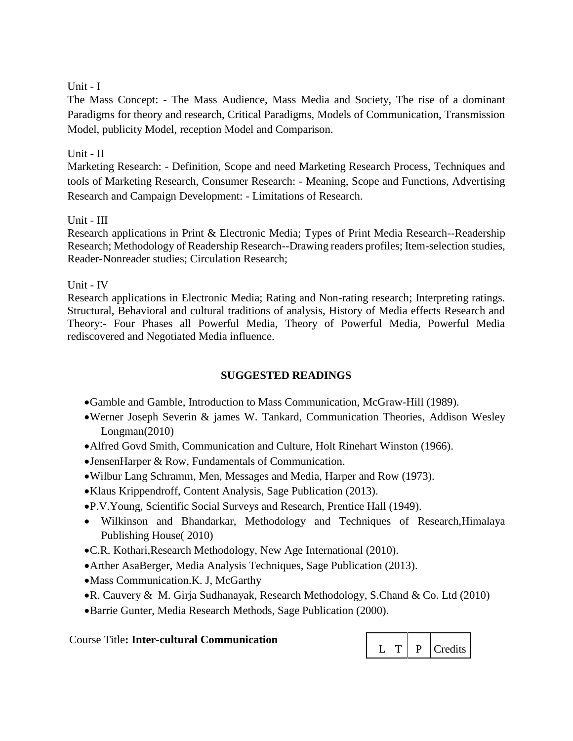### Unit - I

The Mass Concept: - The Mass Audience, Mass Media and Society, The rise of a dominant Paradigms for theory and research, Critical Paradigms, Models of Communication, Transmission Model, publicity Model, reception Model and Comparison.

### Unit - II

Marketing Research: - Definition, Scope and need Marketing Research Process, Techniques and tools of Marketing Research, Consumer Research: - Meaning, Scope and Functions, Advertising Research and Campaign Development: - Limitations of Research.

### Unit - III

Research applications in Print & Electronic Media; Types of Print Media Research--Readership Research; Methodology of Readership Research--Drawing readers profiles; Item-selection studies, Reader-Nonreader studies; Circulation Research;

Unit - IV

Research applications in Electronic Media; Rating and Non-rating research; Interpreting ratings. Structural, Behavioral and cultural traditions of analysis, History of Media effects Research and Theory:- Four Phases all Powerful Media, Theory of Powerful Media, Powerful Media rediscovered and Negotiated Media influence.

# **SUGGESTED READINGS**

- Gamble and Gamble, Introduction to Mass Communication, McGraw-Hill (1989).
- Werner Joseph Severin & james W. Tankard, Communication Theories, Addison Wesley Longman(2010)
- Alfred Govd Smith, Communication and Culture, Holt Rinehart Winston (1966).
- JensenHarper & Row, Fundamentals of Communication.
- Wilbur Lang Schramm, Men, Messages and Media, Harper and Row (1973).
- Klaus Krippendroff, Content Analysis, Sage Publication (2013).
- P.V.Young, Scientific Social Surveys and Research, Prentice Hall (1949).
- Wilkinson and Bhandarkar, Methodology and Techniques of Research,Himalaya Publishing House( 2010)
- C.R. Kothari,Research Methodology, New Age International (2010).
- Arther AsaBerger, Media Analysis Techniques, Sage Publication (2013).
- Mass Communication.K. J, McGarthy
- R. Cauvery & M. Girja Sudhanayak, Research Methodology, S.Chand & Co. Ltd (2010)
- Barrie Gunter, Media Research Methods, Sage Publication (2000).

Course Title**: Inter-cultural Communication**

| Credits |
|---------|
|---------|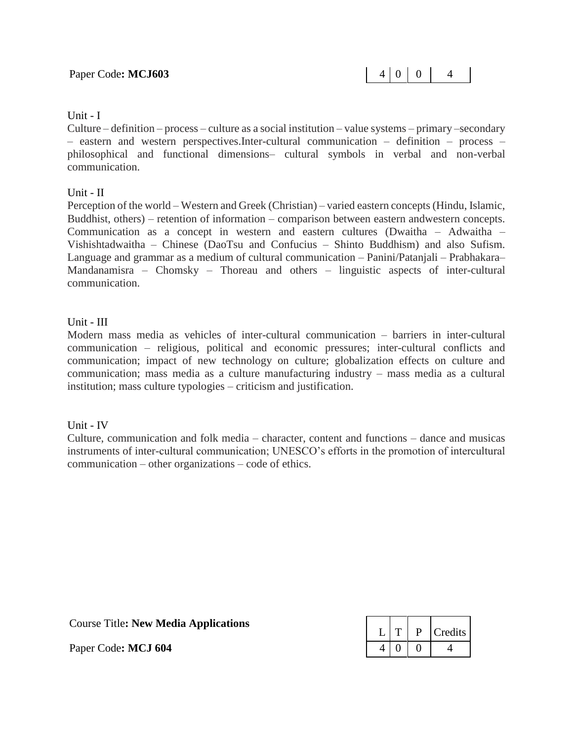#### Unit - I

Culture – definition – process – culture as a social institution – value systems – primary –secondary – eastern and western perspectives.Inter-cultural communication – definition – process – philosophical and functional dimensions– cultural symbols in verbal and non-verbal communication.

#### Unit - II

Perception of the world – Western and Greek (Christian) – varied eastern concepts (Hindu, Islamic, Buddhist, others) – retention of information – comparison between eastern andwestern concepts. Communication as a concept in western and eastern cultures (Dwaitha – Adwaitha – Vishishtadwaitha – Chinese (DaoTsu and Confucius – Shinto Buddhism) and also Sufism. Language and grammar as a medium of cultural communication – Panini/Patanjali – Prabhakara– Mandanamisra – Chomsky – Thoreau and others – linguistic aspects of inter-cultural communication.

#### Unit - III

Modern mass media as vehicles of inter-cultural communication – barriers in inter-cultural communication – religious, political and economic pressures; inter-cultural conflicts and communication; impact of new technology on culture; globalization effects on culture and communication; mass media as a culture manufacturing industry – mass media as a cultural institution; mass culture typologies – criticism and justification.

Unit - IV

Culture, communication and folk media – character, content and functions – dance and musicas instruments of inter-cultural communication; UNESCO's efforts in the promotion of intercultural communication – other organizations – code of ethics.

Course Title**: New Media Applications**

Paper Code: MCJ 604

|  | Credits |
|--|---------|
|  |         |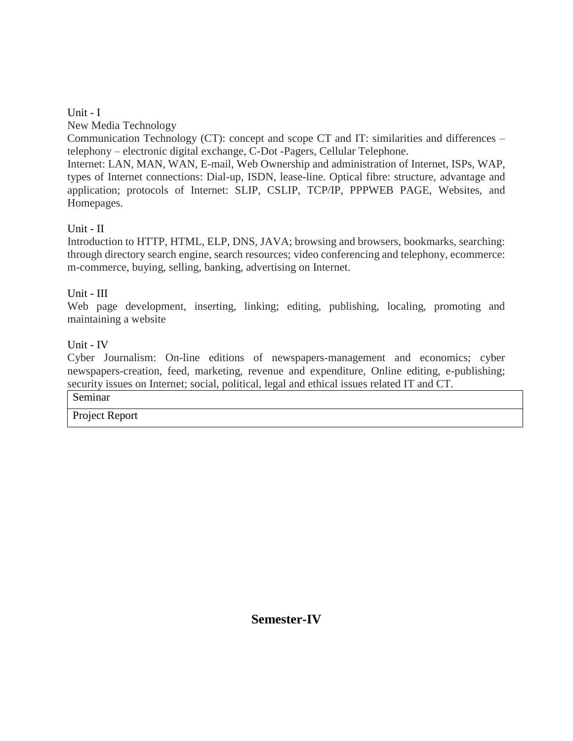# Unit - I

New Media Technology

Communication Technology (CT): concept and scope CT and IT: similarities and differences – telephony – electronic digital exchange, C-Dot -Pagers, Cellular Telephone.

Internet: LAN, MAN, WAN, E-mail, Web Ownership and administration of Internet, ISPs, WAP, types of Internet connections: Dial-up, ISDN, lease-line. Optical fibre: structure, advantage and application; protocols of Internet: SLIP, CSLIP, TCP/IP, PPPWEB PAGE, Websites, and Homepages.

# Unit - II

Introduction to HTTP, HTML, ELP, DNS, JAVA; browsing and browsers, bookmarks, searching: through directory search engine, search resources; video conferencing and telephony, ecommerce: m-commerce, buying, selling, banking, advertising on Internet.

# Unit - III

Web page development, inserting, linking; editing, publishing, localing, promoting and maintaining a website

# Unit - IV

Cyber Journalism: On-line editions of newspapers-management and economics; cyber newspapers-creation, feed, marketing, revenue and expenditure, Online editing, e-publishing; security issues on Internet; social, political, legal and ethical issues related IT and CT.

### Seminar

Project Report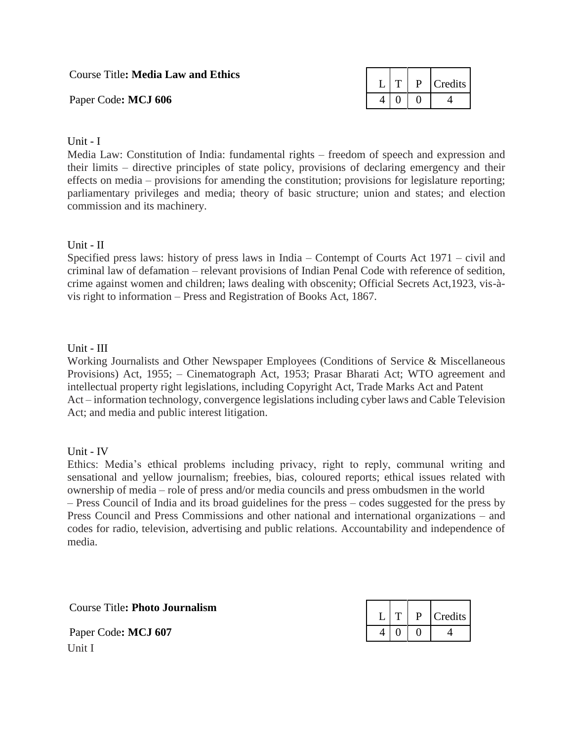Course Title**: Media Law and Ethics**

Paper Code: MCJ 606

|  | Credits |
|--|---------|
|  |         |

### Unit - I

Media Law: Constitution of India: fundamental rights – freedom of speech and expression and their limits – directive principles of state policy, provisions of declaring emergency and their effects on media – provisions for amending the constitution; provisions for legislature reporting; parliamentary privileges and media; theory of basic structure; union and states; and election commission and its machinery.

### Unit - II

Specified press laws: history of press laws in India – Contempt of Courts Act 1971 – civil and criminal law of defamation – relevant provisions of Indian Penal Code with reference of sedition, crime against women and children; laws dealing with obscenity; Official Secrets Act,1923, vis-àvis right to information – Press and Registration of Books Act, 1867.

### Unit - III

Working Journalists and Other Newspaper Employees (Conditions of Service & Miscellaneous Provisions) Act, 1955; – Cinematograph Act, 1953; Prasar Bharati Act; WTO agreement and intellectual property right legislations, including Copyright Act, Trade Marks Act and Patent Act – information technology, convergence legislations including cyber laws and Cable Television Act; and media and public interest litigation.

#### Unit - IV

Ethics: Media's ethical problems including privacy, right to reply, communal writing and sensational and yellow journalism; freebies, bias, coloured reports; ethical issues related with ownership of media – role of press and/or media councils and press ombudsmen in the world – Press Council of India and its broad guidelines for the press – codes suggested for the press by Press Council and Press Commissions and other national and international organizations – and codes for radio, television, advertising and public relations. Accountability and independence of media.

Course Title**: Photo Journalism**

|  | Credits |
|--|---------|
|  |         |

Paper Code: MCJ 607 Unit I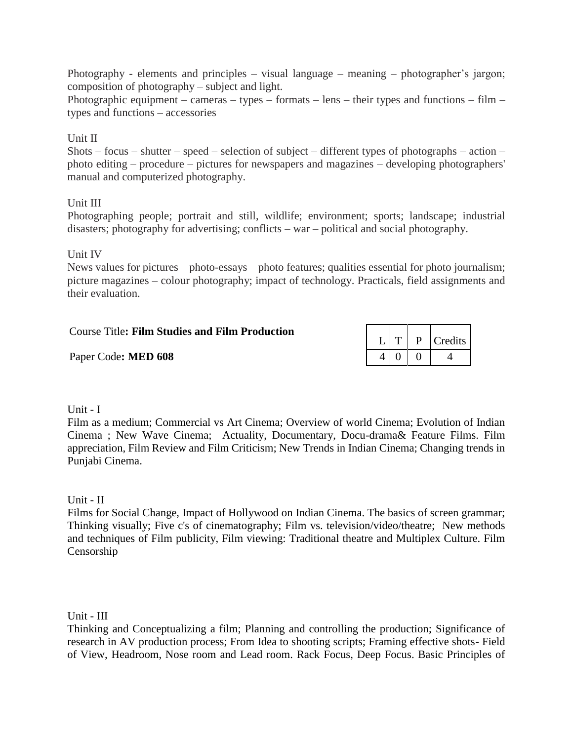Photography - elements and principles – visual language – meaning – photographer's jargon; composition of photography – subject and light.

Photographic equipment – cameras – types – formats – lens – their types and functions – film – types and functions – accessories

### Unit II

Shots – focus – shutter – speed – selection of subject – different types of photographs – action – photo editing – procedure – pictures for newspapers and magazines – developing photographers' manual and computerized photography.

### Unit III

Photographing people; portrait and still, wildlife; environment; sports; landscape; industrial disasters; photography for advertising; conflicts – war – political and social photography.

Unit IV

News values for pictures – photo-essays – photo features; qualities essential for photo journalism; picture magazines – colour photography; impact of technology. Practicals, field assignments and their evaluation.

| <b>Course Title: Film Studies and Film Production</b> |  |  |
|-------------------------------------------------------|--|--|
|                                                       |  |  |

Paper Code**: MED 608** 4 0 0 1

#### Unit - I

Film as a medium; Commercial vs Art Cinema; Overview of world Cinema; Evolution of Indian Cinema ; New Wave Cinema; Actuality, Documentary, Docu-drama& Feature Films. Film appreciation, Film Review and Film Criticism; New Trends in Indian Cinema; Changing trends in Punjabi Cinema.

Unit - II

Films for Social Change, Impact of Hollywood on Indian Cinema. The basics of screen grammar; Thinking visually; Five c's of cinematography; Film vs. television/video/theatre; New methods and techniques of Film publicity, Film viewing: Traditional theatre and Multiplex Culture. Film Censorship

Unit - III

Thinking and Conceptualizing a film; Planning and controlling the production; Significance of research in AV production process; From Idea to shooting scripts; Framing effective shots- Field of View, Headroom, Nose room and Lead room. Rack Focus, Deep Focus. Basic Principles of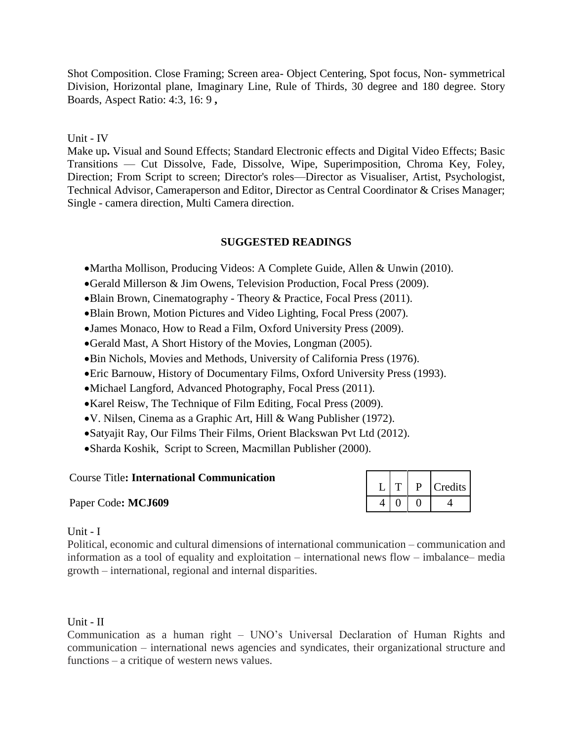Shot Composition. Close Framing; Screen area- Object Centering, Spot focus, Non- symmetrical Division, Horizontal plane, Imaginary Line, Rule of Thirds, 30 degree and 180 degree. Story Boards, Aspect Ratio: 4:3, 16: 9 **,**

### Unit - IV

Make up**.** Visual and Sound Effects; Standard Electronic effects and Digital Video Effects; Basic Transitions — Cut Dissolve, Fade, Dissolve, Wipe, Superimposition, Chroma Key, Foley, Direction; From Script to screen; Director's roles—Director as Visualiser, Artist, Psychologist, Technical Advisor, Cameraperson and Editor, Director as Central Coordinator & Crises Manager; Single - camera direction, Multi Camera direction.

### **SUGGESTED READINGS**

- Martha Mollison, Producing Videos: A Complete Guide, Allen & Unwin (2010).
- Gerald Millerson & Jim Owens, Television Production, Focal Press (2009).
- Blain Brown, Cinematography Theory & Practice, Focal Press (2011).
- Blain Brown, Motion Pictures and Video Lighting, Focal Press (2007).
- James Monaco, How to Read a Film, Oxford University Press (2009).
- Gerald Mast, A Short History of the Movies, Longman (2005).
- Bin Nichols, Movies and Methods, University of California Press (1976).
- Eric Barnouw, History of Documentary Films, Oxford University Press (1993).
- Michael Langford, Advanced Photography, Focal Press (2011).
- Karel Reisw, The Technique of Film Editing, Focal Press (2009).
- V. Nilsen, Cinema as a Graphic Art, Hill & Wang Publisher (1972).
- Satyajit Ray, Our Films Their Films*,* Orient Blackswan Pvt Ltd (2012).
- Sharda Koshik, Script to Screen, Macmillan Publisher (2000).

#### Course Title**: International Communication**

Paper Code: MCJ609

|  |  | Credits |
|--|--|---------|
|  |  |         |

#### Unit - I

Political, economic and cultural dimensions of international communication – communication and information as a tool of equality and exploitation – international news flow – imbalance– media growth – international, regional and internal disparities.

#### Unit - II

Communication as a human right – UNO's Universal Declaration of Human Rights and communication – international news agencies and syndicates, their organizational structure and functions – a critique of western news values.